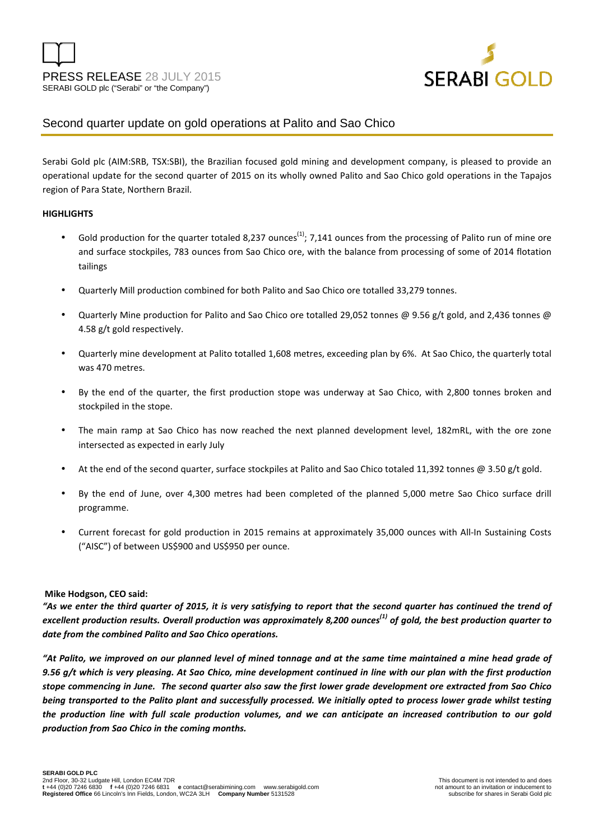

# Second quarter update on gold operations at Palito and Sao Chico

Serabi Gold plc (AIM:SRB, TSX:SBI), the Brazilian focused gold mining and development company, is pleased to provide an operational update for the second quarter of 2015 on its wholly owned Palito and Sao Chico gold operations in the Tapajos region of Para State, Northern Brazil.

## **HIGHLIGHTS**

- Gold production for the quarter totaled 8,237 ounces<sup>(1)</sup>; 7,141 ounces from the processing of Palito run of mine ore and surface stockpiles, 783 ounces from Sao Chico ore, with the balance from processing of some of 2014 flotation tailings
- Quarterly Mill production combined for both Palito and Sao Chico ore totalled 33,279 tonnes.
- Quarterly Mine production for Palito and Sao Chico ore totalled 29,052 tonnes @ 9.56 g/t gold, and 2,436 tonnes @ 4.58 g/t gold respectively.
- Quarterly mine development at Palito totalled 1,608 metres, exceeding plan by 6%. At Sao Chico, the quarterly total was 470 metres.
- By the end of the quarter, the first production stope was underway at Sao Chico, with 2,800 tonnes broken and stockpiled in the stope.
- The main ramp at Sao Chico has now reached the next planned development level, 182mRL, with the ore zone intersected as expected in early July
- At the end of the second quarter, surface stockpiles at Palito and Sao Chico totaled 11,392 tonnes @ 3.50 g/t gold.
- By the end of June, over 4,300 metres had been completed of the planned 5,000 metre Sao Chico surface drill programme.
- Current forecast for gold production in 2015 remains at approximately 35,000 ounces with All-In Sustaining Costs ("AISC") of between US\$900 and US\$950 per ounce.

## **Mike Hodgson, CEO said:**

*"As we enter the third quarter of 2015, it is very satisfying to report that the second quarter has continued the trend of excellent production results. Overall production was approximately 8,200 ounces(1) of gold, the best production quarter to date from the combined Palito and Sao Chico operations.* 

*"At Palito, we improved on our planned level of mined tonnage and at the same time maintained a mine head grade of 9.56 g/t which is very pleasing. At Sao Chico, mine development continued in line with our plan with the first production stope commencing in June. The second quarter also saw the first lower grade development ore extracted from Sao Chico being transported to the Palito plant and successfully processed. We initially opted to process lower grade whilst testing the production line with full scale production volumes, and we can anticipate an increased contribution to our gold production from Sao Chico in the coming months.*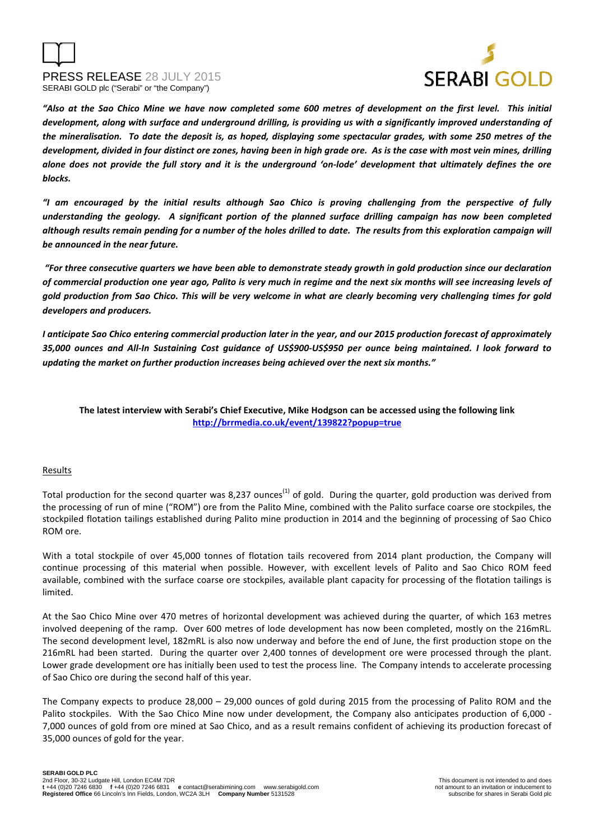



*"Also at the Sao Chico Mine we have now completed some 600 metres of development on the first level. This initial development, along with surface and underground drilling, is providing us with a significantly improved understanding of the mineralisation. To date the deposit is, as hoped, displaying some spectacular grades, with some 250 metres of the development, divided in four distinct ore zones, having been in high grade ore. As is the case with most vein mines, drilling alone does not provide the full story and it is the underground 'on-lode' development that ultimately defines the ore blocks.* 

*"I am encouraged by the initial results although Sao Chico is proving challenging from the perspective of fully understanding the geology. A significant portion of the planned surface drilling campaign has now been completed although results remain pending for a number of the holes drilled to date. The results from this exploration campaign will be announced in the near future.* 

 *"For three consecutive quarters we have been able to demonstrate steady growth in gold production since our declaration of commercial production one year ago, Palito is very much in regime and the next six months will see increasing levels of gold production from Sao Chico. This will be very welcome in what are clearly becoming very challenging times for gold developers and producers.* 

*I anticipate Sao Chico entering commercial production later in the year, and our 2015 production forecast of approximately 35,000 ounces and All-In Sustaining Cost guidance of US\$900-US\$950 per ounce being maintained. I look forward to updating the market on further production increases being achieved over the next six months."* 

**The latest interview with Serabi's Chief Executive, Mike Hodgson can be accessed using the following link http://brrmedia.co.uk/event/139822?popup=true**

### Results

Total production for the second quarter was 8,237 ounces<sup>(1)</sup> of gold. During the quarter, gold production was derived from the processing of run of mine ("ROM") ore from the Palito Mine, combined with the Palito surface coarse ore stockpiles, the stockpiled flotation tailings established during Palito mine production in 2014 and the beginning of processing of Sao Chico ROM ore.

With a total stockpile of over 45,000 tonnes of flotation tails recovered from 2014 plant production, the Company will continue processing of this material when possible. However, with excellent levels of Palito and Sao Chico ROM feed available, combined with the surface coarse ore stockpiles, available plant capacity for processing of the flotation tailings is limited.

At the Sao Chico Mine over 470 metres of horizontal development was achieved during the quarter, of which 163 metres involved deepening of the ramp. Over 600 metres of lode development has now been completed, mostly on the 216mRL. The second development level, 182mRL is also now underway and before the end of June, the first production stope on the 216mRL had been started. During the quarter over 2,400 tonnes of development ore were processed through the plant. Lower grade development ore has initially been used to test the process line. The Company intends to accelerate processing of Sao Chico ore during the second half of this year.

The Company expects to produce 28,000 – 29,000 ounces of gold during 2015 from the processing of Palito ROM and the Palito stockpiles. With the Sao Chico Mine now under development, the Company also anticipates production of 6,000 -7,000 ounces of gold from ore mined at Sao Chico, and as a result remains confident of achieving its production forecast of 35,000 ounces of gold for the year.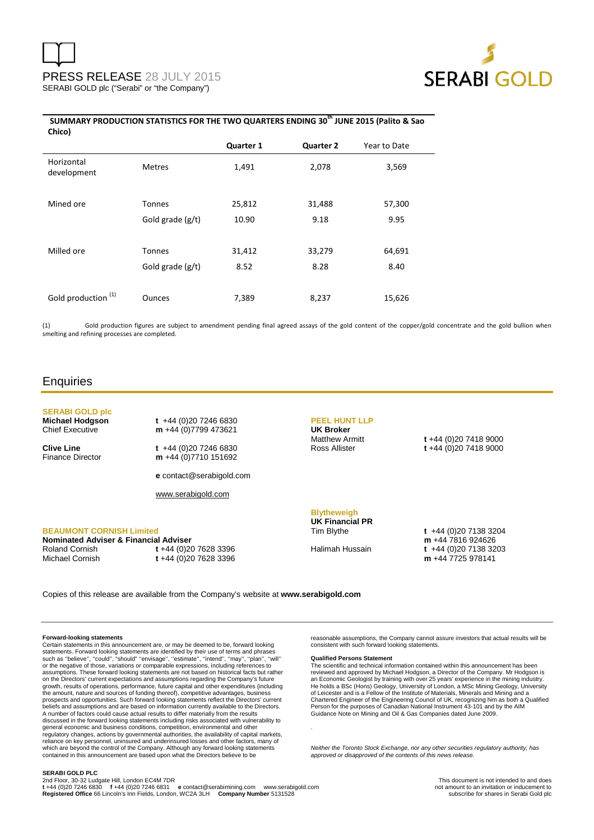

#### **SUMMARY PRODUCTION STATISTICS FOR THE TWO QUARTERS ENDING 30th JUNE 2015 (Palito & Sao Chico)**

| unco,                          |                    |                  |                  |              |
|--------------------------------|--------------------|------------------|------------------|--------------|
|                                |                    | <b>Quarter 1</b> | <b>Quarter 2</b> | Year to Date |
| Horizontal<br>development      | <b>Metres</b>      | 1,491            | 2,078            | 3,569        |
| Mined ore                      | <b>Tonnes</b>      | 25,812           | 31,488           | 57,300       |
|                                | Gold grade $(g/t)$ | 10.90            | 9.18             | 9.95         |
|                                |                    |                  |                  |              |
| Milled ore                     | <b>Tonnes</b>      | 31,412           | 33,279           | 64,691       |
|                                | Gold grade $(g/t)$ | 8.52             | 8.28             | 8.40         |
|                                |                    |                  |                  |              |
| Gold production <sup>(1)</sup> | <b>Ounces</b>      | 7,389            | 8,237            | 15,626       |

(1) Gold production figures are subject to amendment pending final agreed assays of the gold content of the copper/gold concentrate and the gold bullion when smelting and refining processes are completed.

## **Enquiries**

# **SERABI GOLD plc Michael Hodgson t** +44 (0)20 7246 6830<br>Chief Executive **m** +44 (0)7799 473621

m +44 (0)7799 473621 **Clive Line** t +44 (0)20 7246 6830<br>Finance Director **m** +44 (0)7710 151692 m +44 (0)7710 151692

**e** contact@serabigold.com

www.serabigold.com

#### **BEAUMONT CORNISH Limited**

**Nominated Adviser & Financial Adviser**  Roland Cornish **t** +44 (0)20 7628 3396 Michael Cornish **t** +44 (0)20 7628 3396

# **PEEL HUNT LLP UK Broker**

Matthew Armitt **t** +44 (0)20 7418 9000 Ross Allister **t** +44 (0)20 7418 9000

## **Blytheweigh UK Financial PR**

Tim Blythe **t** +44 (0)20 7138 3204 **m** +44 7816 924626 Halimah Hussain **t** +44 (0)20 7138 3203 **m** +44 7725 978141

Copies of this release are available from the Company's website at **www.serabigold.com** 

#### **Forward-looking statements**

Certain statements in this announcement are, or may be deemed to be, forward looking statements. Forward looking statements are identified by their use of terms and phrases such as ''believe'', ''could'', "should" ''envisage'', ''estimate'', ''intend'', ''may'', ''plan'', ''will'' or the negative of those, variations or comparable expressions, including references to assumptions. These forward looking statements are not based on historical facts but rather on the Directors' current expectations and assumptions regarding the Company's future<br>growth, results of operations, performance, future capital and other expenditures (including<br>the amount, nature and sources of funding t prospects and opportunities. Such forward looking statements reflect the Directors' current beliefs and assumptions and are based on information currently available to the Directors. A number of factors could cause actual results to differ materially from the results discussed in the forward looking statements including risks associated with vulnerability to general economic and business conditions, competition, environmental and other regulatory changes, actions by governmental authorities, the availability of capital markets,<br>reliance on key personnel, uninsured and underinsured losses and other factors, many of<br>which are beyond the control of the Comp contained in this announcement are based upon what the Directors believe to be

#### **SERABI GOLD PLC**

2nd Floor, 30-32 Ludgate Hill, London EC4M 7DR<br>t +44 (0)20 7246 6830 f +44 (0)20 7246 6831 e contact@serabimining.com www.serabigold.com not amount to an invitation or inducement to **Registered Office** 66 Lincoln's Inn Fields, London, WC2A 3LH **Company Number** 5131528

reasonable assumptions, the Company cannot assure investors that actual results will be consistent with such forward looking statements.

#### **Qualified Persons Statement**

.

The scientific and technical information contained within this announcement has been reviewed and approved by Michael Hodgson, a Director of the Company. Mr Hodgson is an Economic Geologist by training with over 25 years' experience in the mining industry.<br>He holds a BSc (Hons) Geology, University of London, a MSc Mining Geology, University<br>of Leicester and is a Fellow of the Institute Chartered Engineer of the Engineering Council of UK, recognizing him as both a Qualified<br>Person for the purposes of Canadian National Instrument 43-101 and by the AIM<br>Guidance Note on Mining and Oil & Gas Companies dated J

Neither the Toronto Stock Exchange, nor any other securities regulatory authority, has approved or disapproved of the contents of this news release.